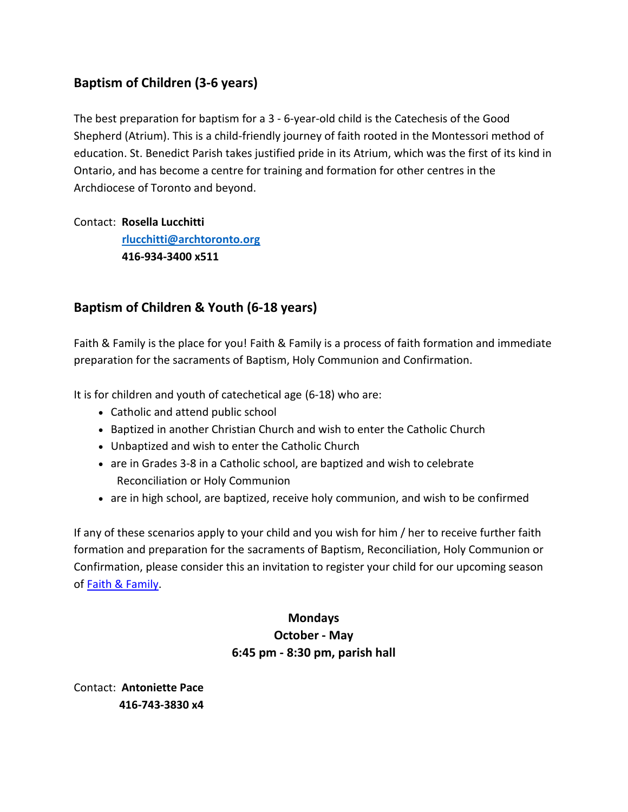# **Baptism of Children (3-6 years)**

The best preparation for baptism for a 3 - 6-year-old child is the Catechesis of the Good Shepherd (Atrium). This is a child-friendly journey of faith rooted in the Montessori method of education. St. Benedict Parish takes justified pride in its Atrium, which was the first of its kind in Ontario, and has become a centre for training and formation for other centres in the Archdiocese of Toronto and beyond.

#### Contact: **Rosella Lucchitti**

 **[rlucchitti@archtoronto.org](mailto:rlucchitti@archtoronto.org) 416-934-3400 x511**

## **Baptism of Children & Youth (6-18 years)**

Faith & Family is the place for you! Faith & Family is a process of faith formation and immediate preparation for the sacraments of Baptism, Holy Communion and Confirmation.

It is for children and youth of catechetical age (6-18) who are:

- Catholic and attend public school
- Baptized in another Christian Church and wish to enter the Catholic Church
- Unbaptized and wish to enter the Catholic Church
- are in Grades 3-8 in a Catholic school, are baptized and wish to celebrate Reconciliation or Holy Communion
- are in high school, are baptized, receive holy communion, and wish to be confirmed

If any of these scenarios apply to your child and you wish for him / her to receive further faith formation and preparation for the sacraments of Baptism, Reconciliation, Holy Communion or Confirmation, please consider this an invitation to register your child for our upcoming season of Faith & [Family.](https://www.stbenedicts.ca/faith-development)

## **Mondays October - May 6:45 pm - 8:30 pm, parish hall**

Contact: **Antoniette Pace 416-743-3830 x4**